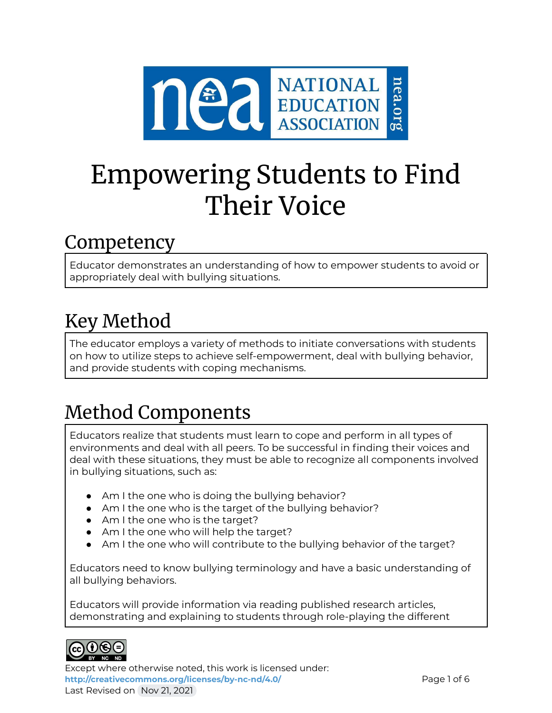

# Empowering Students to Find Their Voice

### Competency

Educator demonstrates an understanding of how to empower students to avoid or appropriately deal with bullying situations.

## Key Method

The educator employs a variety of methods to initiate conversations with students on how to utilize steps to achieve self-empowerment, deal with bullying behavior, and provide students with coping mechanisms.

# Method Components

Educators realize that students must learn to cope and perform in all types of environments and deal with all peers. To be successful in finding their voices and deal with these situations, they must be able to recognize all components involved in bullying situations, such as:

- Am I the one who is doing the bullying behavior?
- Am I the one who is the target of the bullying behavior?
- Am I the one who is the target?
- Am I the one who will help the target?
- Am I the one who will contribute to the bullying behavior of the target?

Educators need to know bullying terminology and have a basic understanding of all bullying behaviors.

Educators will provide information via reading published research articles, demonstrating and explaining to students through role-playing the different



Except where otherwise noted, this work is licensed under: <http://creativecommons.org/licenses/by-nc-nd/4.0/> **Page 1 of 6** Last Revised on Nov 21, 2021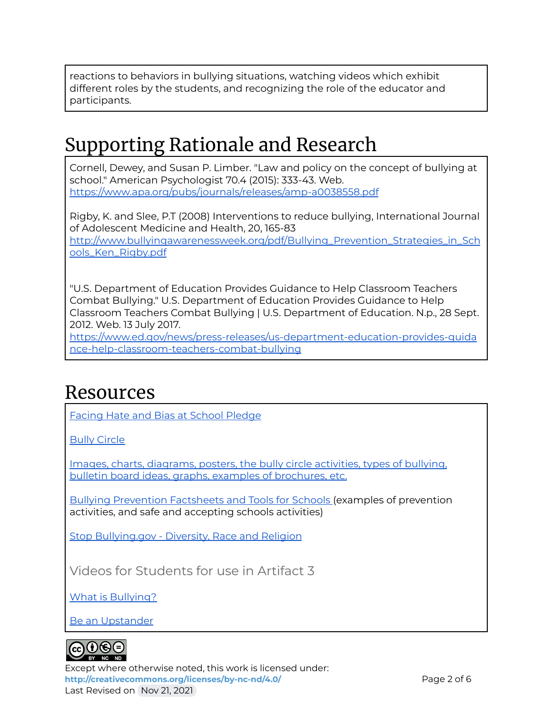reactions to behaviors in bullying situations, watching videos which exhibit different roles by the students, and recognizing the role of the educator and participants.

### Supporting Rationale and Research

Cornell, Dewey, and Susan P. Limber. "Law and policy on the concept of bullying at school." American Psychologist 70.4 (2015): 333-43. Web. <https://www.apa.org/pubs/journals/releases/amp-a0038558.pdf>

Rigby, K. and Slee, P.T (2008) Interventions to reduce bullying, International Journal of Adolescent Medicine and Health, 20, 165-83 [http://www.bullyingawarenessweek.org/pdf/Bullying\\_Prevention\\_Strategies\\_in\\_Sch](http://www.bullyingawarenessweek.org/pdf/Bullying_Prevention_Strategies_in_Schools_Ken_Rigby.pdf) [ools\\_Ken\\_Rigby.pdf](http://www.bullyingawarenessweek.org/pdf/Bullying_Prevention_Strategies_in_Schools_Ken_Rigby.pdf)

"U.S. Department of Education Provides Guidance to Help Classroom Teachers Combat Bullying." U.S. Department of Education Provides Guidance to Help Classroom Teachers Combat Bullying | U.S. Department of Education. N.p., 28 Sept. 2012. Web. 13 July 2017.

[https://www.ed.gov/news/press-releases/us-department-education-provides-guida](https://www.ed.gov/news/press-releases/us-department-education-provides-guidance-help-classroom-teachers-combat-bullying) [nce-help-classroom-teachers-combat-bullying](https://www.ed.gov/news/press-releases/us-department-education-provides-guidance-help-classroom-teachers-combat-bullying)

### Resources

Facing Hate and Bias at School [Pledge](https://neaedjustice.org/facing-hate-and-bias/)

Bully [Circle](https://drive.google.com/file/d/0B4-iZkl6hT7KM2NqT1VUbWNGWkE/view)

Images, charts, [diagrams,](https://www.bing.com/images/search?q=Bullying+Circle&id=1B29BFDE034110161E32F295A0623A591F57B8F9&form=IDBQDM&first=1&tsc=ImageBasicHover) posters, the bully circle activities, types of bullying, bulletin board ideas, graphs, examples of [brochures,](https://www.bing.com/images/search?q=Bullying+Circle&id=1B29BFDE034110161E32F295A0623A591F57B8F9&form=IDBQDM&first=1&tsc=ImageBasicHover) etc.

Bullying [Prevention](https://www.prevnet.ca/resources/bullying-prevention-facts-and-tools-for-schools) Factsheets and Tools for Schools (examples of prevention activities, and safe and accepting schools activities)

Stop [Bullying.gov](https://www.stopbullying.gov/bullying/groups) - Diversity, Race and Religion

Videos for Students for use in Artifact 3

What is [Bullying?](https://www.youtube.com/watch?v=pDG1-BCZvTE)

Be an [Upstander](https://www.youtube.com/watch?v=eeqQCyQOCPg)



Except where otherwise noted, this work is licensed under: **<http://creativecommons.org/licenses/by-nc-nd/4.0/>** Page 2 of 6 Last Revised on Nov 21, 2021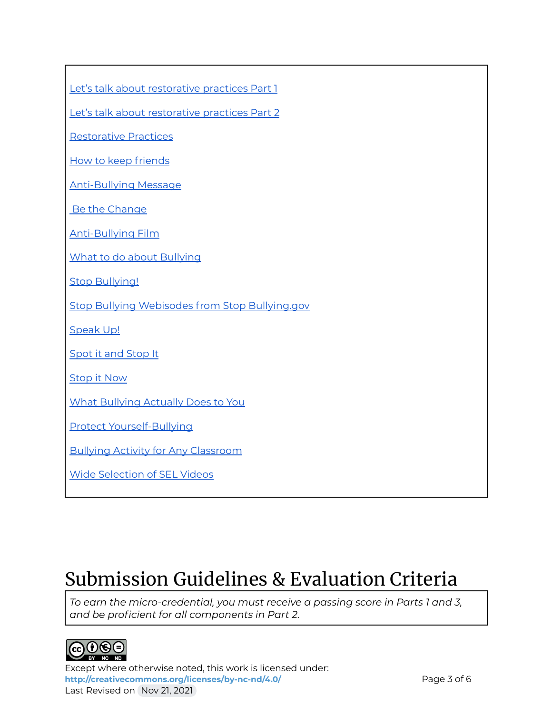Let's talk about [restorative](https://www.youtube.com/watch?v=L2QzPBzLx9Y) practices Part 1

Let's talk about [restorative](https://www.youtube.com/watch?v=dqK9HesW6hQ) practices Part 2

[Restorative](https://www.youtube.com/watch?v=dqK9HesW6hQ) Practices

How to keep [friends](https://www.youtube.com/watch?v=k8e1ARp70ZI)

[Anti-Bullying](https://www.youtube.com/watch?v=0gpMP-qiAGI) Message

Be the [Change](https://www.youtube.com/watch?v=5vAGSSJuE28)

[Anti-Bullying](https://www.youtube.com/watch?v=YyDJafzuUK4) Film

What to do about [Bullying](https://www.youtube.com/watch?v=5l6mDwanphM)

**Stop [Bullying!](https://www.youtube.com/watch?v=__C7sd_UDU0)** 

Stop Bullying Webisodes from Stop [Bullying.gov](https://www.youtube.com/watch?v=5nS1bqIlblU)

[Speak](https://www.youtube.com/watch?v=C9Ce1Cgcfq8) Up!

[Spot](https://www.youtube.com/watch?v=eyn022bDplw) it and Stop It

[Stop](https://www.youtube.com/watch?v=rdp5ki8Kxbs) it Now

What [Bullying](https://www.youtube.com/watch?v=kg9myZokj_k) Actually Does to You

Protect [Yourself-Bullying](https://www.youtube.com/watch?v=4mrE5zgEvt4)

Bullying Activity for Any [Classroom](https://www.youtube.com/watch?v=-j6foVLceD8)

Wide [Selection](https://www.youtube.com/channel/UCo0zW6kLPq2Ns_51AaZN0lQ/videos) of SEL Videos

### Submission Guidelines & Evaluation Criteria

*To earn the micro-credential, you must receive a passing score in Parts 1 and 3, and be proficient for all components in Part 2.*



Except where otherwise noted, this work is licensed under: <http://creativecommons.org/licenses/by-nc-nd/4.0/><br>
Page 3 of 6 Last Revised on Nov 21, 2021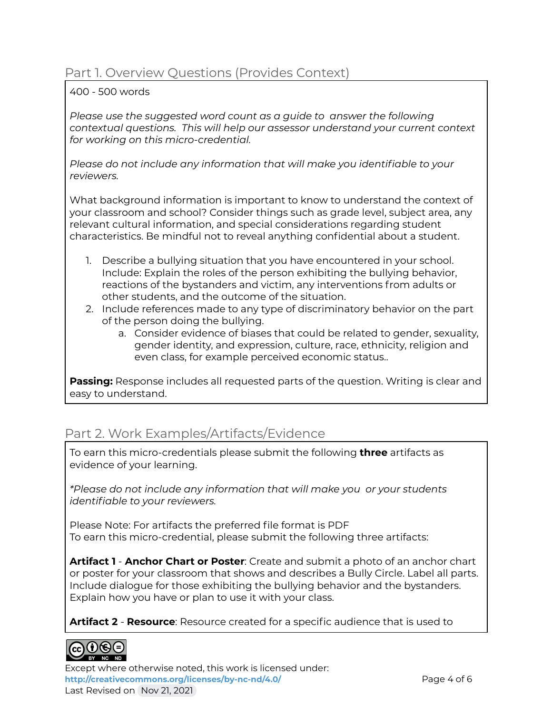#### Part 1. Overview Questions (Provides Context)

#### 400 - 500 words

*Please use the suggested word count as a guide to answer the following contextual questions. This will help our assessor understand your current context for working on this micro-credential.*

*Please do not include any information that will make you identifiable to your reviewers.*

What background information is important to know to understand the context of your classroom and school? Consider things such as grade level, subject area, any relevant cultural information, and special considerations regarding student characteristics. Be mindful not to reveal anything confidential about a student.

- 1. Describe a bullying situation that you have encountered in your school. Include: Explain the roles of the person exhibiting the bullying behavior, reactions of the bystanders and victim, any interventions from adults or other students, and the outcome of the situation.
- 2. Include references made to any type of discriminatory behavior on the part of the person doing the bullying.
	- a. Consider evidence of biases that could be related to gender, sexuality, gender identity, and expression, culture, race, ethnicity, religion and even class, for example perceived economic status..

**Passing:** Response includes all requested parts of the question. Writing is clear and easy to understand.

### Part 2. Work Examples/Artifacts/Evidence

To earn this micro-credentials please submit the following **three** artifacts as evidence of your learning.

*\*Please do not include any information that will make you or your students identifiable to your reviewers.*

Please Note: For artifacts the preferred file format is PDF To earn this micro-credential, please submit the following three artifacts:

**Artifact 1** - **Anchor Chart or Poster**: Create and submit a photo of an anchor chart or poster for your classroom that shows and describes a Bully Circle. Label all parts. Include dialogue for those exhibiting the bullying behavior and the bystanders. Explain how you have or plan to use it with your class.

**Artifact 2** - **Resource**: Resource created for a specific audience that is used to



Except where otherwise noted, this work is licensed under: <http://creativecommons.org/licenses/by-nc-nd/4.0/><br>
Page 4 of 6 Last Revised on Nov 21, 2021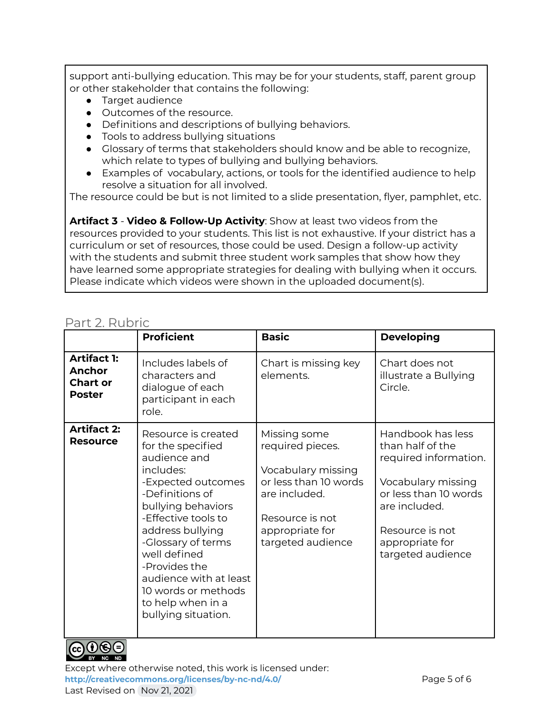support anti-bullying education. This may be for your students, staff, parent group or other stakeholder that contains the following:

- Target audience
- Outcomes of the resource.
- Definitions and descriptions of bullying behaviors.
- Tools to address bullying situations
- Glossary of terms that stakeholders should know and be able to recognize, which relate to types of bullying and bullying behaviors.
- Examples of vocabulary, actions, or tools for the identified audience to help resolve a situation for all involved.

The resource could be but is not limited to a slide presentation, flyer, pamphlet, etc.

**Artifact 3** - **Video & Follow-Up Activity**: Show at least two videos from the resources provided to your students. This list is not exhaustive. If your district has a curriculum or set of resources, those could be used. Design a follow-up activity with the students and submit three student work samples that show how they have learned some appropriate strategies for dealing with bullying when it occurs. Please indicate which videos were shown in the uploaded document(s).

|                                                                         | <b>Proficient</b>                                                                                                                                                                                                                                                                                                                   | <b>Basic</b>                                                                                                                                                | <b>Developing</b>                                                                                                                                                                         |
|-------------------------------------------------------------------------|-------------------------------------------------------------------------------------------------------------------------------------------------------------------------------------------------------------------------------------------------------------------------------------------------------------------------------------|-------------------------------------------------------------------------------------------------------------------------------------------------------------|-------------------------------------------------------------------------------------------------------------------------------------------------------------------------------------------|
| <b>Artifact 1:</b><br><b>Anchor</b><br><b>Chart or</b><br><b>Poster</b> | Includes labels of<br>characters and<br>dialogue of each<br>participant in each<br>role.                                                                                                                                                                                                                                            | Chart is missing key<br>elements.                                                                                                                           | Chart does not<br>illustrate a Bullying<br>Circle.                                                                                                                                        |
| <b>Artifact 2:</b><br><b>Resource</b>                                   | Resource is created<br>for the specified<br>audience and<br>includes:<br>-Expected outcomes<br>-Definitions of<br>bullying behaviors<br>-Effective tools to<br>address bullying<br>-Glossary of terms<br>well defined<br>-Provides the<br>audience with at least<br>10 words or methods<br>to help when in a<br>bullying situation. | Missing some<br>required pieces.<br>Vocabulary missing<br>or less than 10 words<br>are included.<br>Resource is not<br>appropriate for<br>targeted audience | Handbook has less<br>than half of the<br>required information.<br>Vocabulary missing<br>or less than 10 words<br>are included.<br>Resource is not<br>appropriate for<br>targeted audience |

### Part 2. Rubric



Except where otherwise noted, this work is licensed under: <http://creativecommons.org/licenses/by-nc-nd/4.0/><br>
Page 5 of 6 Last Revised on Nov 21, 2021